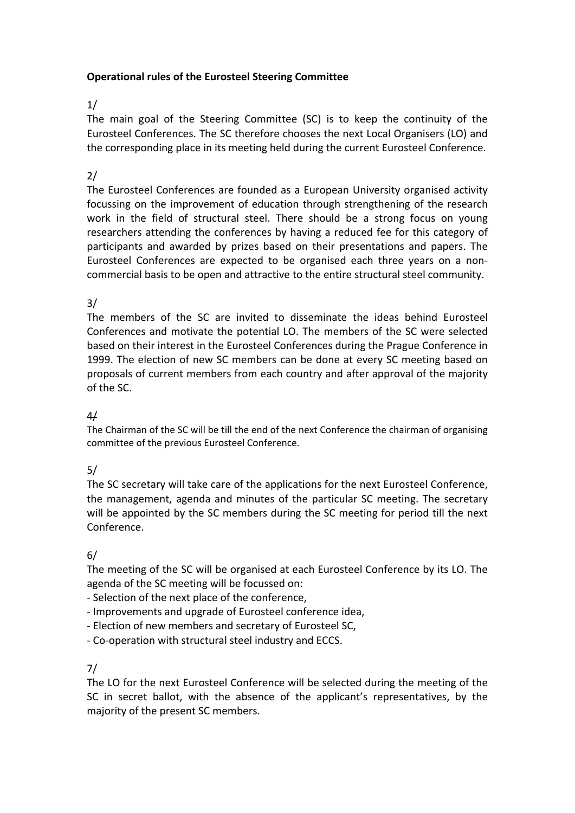#### **Operational rules of the Eurosteel Steering Committee**

#### 1/

The main goal of the Steering Committee (SC) is to keep the continuity of the Eurosteel Conferences. The SC therefore chooses the next Local Organisers (LO) and the corresponding place in its meeting held during the current Eurosteel Conference.

### 2/

The Eurosteel Conferences are founded as a European University organised activity focussing on the improvement of education through strengthening of the research work in the field of structural steel. There should be a strong focus on young researchers attending the conferences by having a reduced fee for this category of participants and awarded by prizes based on their presentations and papers. The Eurosteel Conferences are expected to be organised each three years on a non‐ commercial basis to be open and attractive to the entire structural steel community.

#### 3/

The members of the SC are invited to disseminate the ideas behind Eurosteel Conferences and motivate the potential LO. The members of the SC were selected based on their interest in the Eurosteel Conferences during the Prague Conference in 1999. The election of new SC members can be done at every SC meeting based on proposals of current members from each country and after approval of the majority of the SC.

#### 4/

The Chairman of the SC will be till the end of the next Conference the chairman of organising committee of the previous Eurosteel Conference.

# 5/

The SC secretary will take care of the applications for the next Eurosteel Conference, the management, agenda and minutes of the particular SC meeting. The secretary will be appointed by the SC members during the SC meeting for period till the next Conference.

#### 6/

The meeting of the SC will be organised at each Eurosteel Conference by its LO. The agenda of the SC meeting will be focussed on:

- ‐ Selection of the next place of the conference,
- ‐ Improvements and upgrade of Eurosteel conference idea,
- ‐ Election of new members and secretary of Eurosteel SC,
- ‐ Co‐operation with structural steel industry and ECCS.

#### 7/

The LO for the next Eurosteel Conference will be selected during the meeting of the SC in secret ballot, with the absence of the applicant's representatives, by the majority of the present SC members.